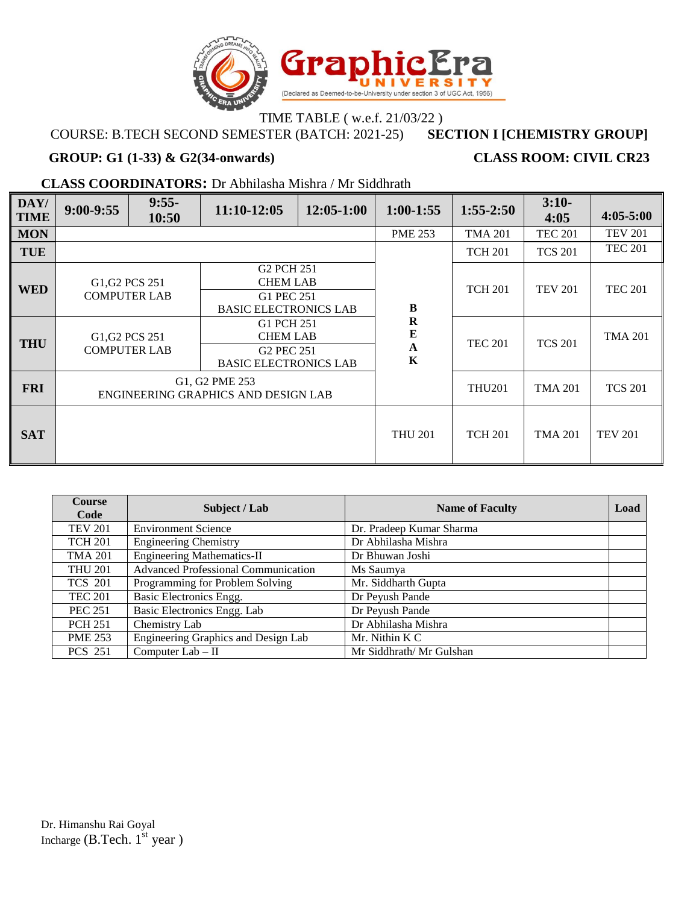

### TIME TABLE (w.e.f. 21/03/22)<br>STER (BATCH: 2021-25) SECTION I [CHEMISTRY GROUP] **COURSE: B.TECH SECOND SEMESTER (BATCH: 2021-25)**

### **GROUP: G1 (1-33) & G2(34-onwards) CLASS ROOM: CIVIL CR23**

**CLASS COORDINATORS:** Dr Abhilasha Mishra / Mr Siddhrath

| DAY/<br><b>TIME</b> | $9:00-9:55$                                                                                                                                                           | $9:55-$<br>10:50                                                           | 11:10-12:05                                           | 12:05-1:00                                                                              | $1:00-1:55$    | $1:55-2:50$    | $3:10-$<br>4:05 | $4:05 - 5:00$  |                |
|---------------------|-----------------------------------------------------------------------------------------------------------------------------------------------------------------------|----------------------------------------------------------------------------|-------------------------------------------------------|-----------------------------------------------------------------------------------------|----------------|----------------|-----------------|----------------|----------------|
| <b>MON</b>          |                                                                                                                                                                       |                                                                            |                                                       |                                                                                         | <b>PME 253</b> | <b>TMA 201</b> | <b>TEC 201</b>  | <b>TEV 201</b> |                |
| <b>TUE</b>          |                                                                                                                                                                       |                                                                            |                                                       |                                                                                         |                | <b>TCH 201</b> | <b>TCS 201</b>  | <b>TEC 201</b> |                |
| <b>WED</b>          | G <sub>2</sub> PCH 251<br>G <sub>1</sub> , G <sub>2</sub> PC <sub>S</sub> 251<br><b>CHEM LAB</b><br><b>COMPUTER LAB</b><br>G1 PEC 251<br><b>BASIC ELECTRONICS LAB</b> |                                                                            |                                                       |                                                                                         |                |                | <b>TCH 201</b>  | <b>TEV 201</b> | <b>TEC 201</b> |
| <b>THU</b>          |                                                                                                                                                                       | G <sub>1</sub> , G <sub>2</sub> PC <sub>S</sub> 251<br><b>COMPUTER LAB</b> |                                                       | G1 PCH 251<br><b>CHEM LAB</b><br>G <sub>2</sub> PEC 251<br><b>BASIC ELECTRONICS LAB</b> |                | <b>TEC 201</b> | <b>TCS 201</b>  | <b>TMA 201</b> |                |
| <b>FRI</b>          |                                                                                                                                                                       |                                                                            | G1, G2 PME 253<br>ENGINEERING GRAPHICS AND DESIGN LAB |                                                                                         | <b>THU201</b>  | <b>TMA 201</b> | <b>TCS 201</b>  |                |                |
| <b>SAT</b>          |                                                                                                                                                                       |                                                                            |                                                       |                                                                                         | <b>THU 201</b> | <b>TCH 201</b> | <b>TMA 201</b>  | <b>TEV 201</b> |                |

| <b>Course</b><br>Code | Subject / Lab                              | <b>Name of Faculty</b>   | Load |
|-----------------------|--------------------------------------------|--------------------------|------|
| <b>TEV 201</b>        | <b>Environment Science</b>                 | Dr. Pradeep Kumar Sharma |      |
| <b>TCH 201</b>        | <b>Engineering Chemistry</b>               | Dr Abhilasha Mishra      |      |
| <b>TMA 201</b>        | <b>Engineering Mathematics-II</b>          | Dr Bhuwan Joshi          |      |
| <b>THU 201</b>        | <b>Advanced Professional Communication</b> | Ms Saumya                |      |
| <b>TCS 201</b>        | Programming for Problem Solving            | Mr. Siddharth Gupta      |      |
| <b>TEC 201</b>        | Basic Electronics Engg.                    | Dr Peyush Pande          |      |
| <b>PEC 251</b>        | Basic Electronics Engg. Lab                | Dr Peyush Pande          |      |
| <b>PCH 251</b>        | Chemistry Lab                              | Dr Abhilasha Mishra      |      |
| <b>PME 253</b>        | Engineering Graphics and Design Lab        | Mr. Nithin K C           |      |
| <b>PCS 251</b>        | Computer $Lab - II$                        | Mr Siddhrath/ Mr Gulshan |      |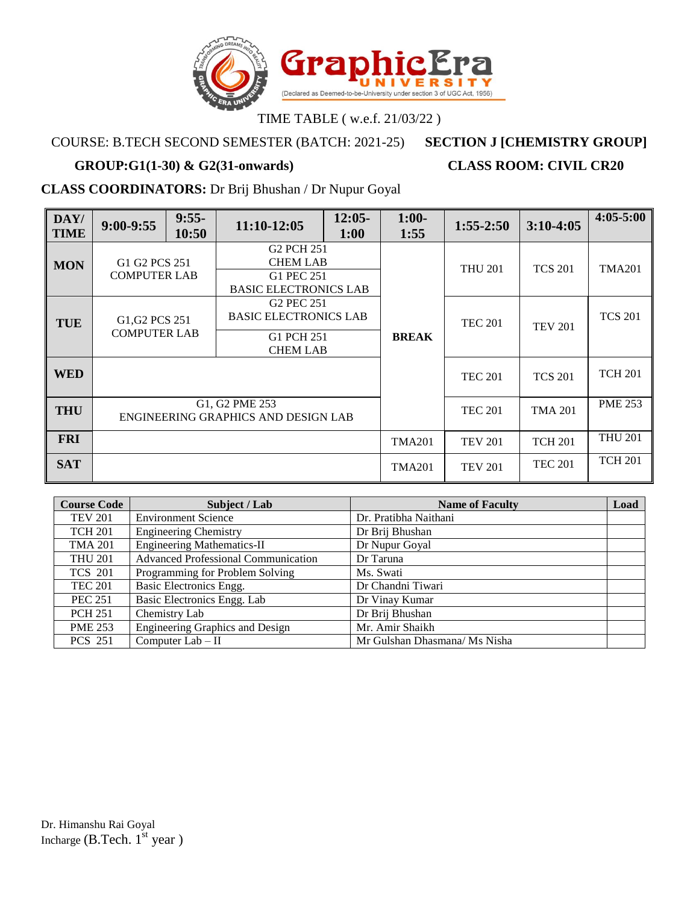

# COURSE: B.TECH SECOND SEMESTER (BATCH: 2021-25) **SECTION J [CHEMISTRY GROUP]**

# **GROUP:G1(1-30) & G2(31-onwards) CLASS ROOM: CIVIL CR20**

## **CLASS COORDINATORS:** Dr Brij Bhushan / Dr Nupur Goyal

| DAY/<br><b>TIME</b> | $9:00-9:55$                                                                | $9:55-$<br>10:50 | 11:10-12:05                                                                             | $12:05-$<br>1:00 | $1:00-$<br>1:55 | $1:55-2:50$    | $3:10-4:05$    | $4:05 - 5:00$  |
|---------------------|----------------------------------------------------------------------------|------------------|-----------------------------------------------------------------------------------------|------------------|-----------------|----------------|----------------|----------------|
| <b>MON</b>          | G1 G2 PCS 251<br><b>COMPUTER LAB</b>                                       |                  | G <sub>2</sub> PCH 251<br><b>CHEM LAB</b><br>G1 PEC 251<br><b>BASIC ELECTRONICS LAB</b> |                  |                 | <b>THU 201</b> | <b>TCS 201</b> | <b>TMA201</b>  |
| <b>TUE</b>          | G <sub>1</sub> , G <sub>2</sub> PC <sub>S</sub> 251<br><b>COMPUTER LAB</b> |                  | G <sub>2</sub> PEC 251<br><b>BASIC ELECTRONICS LAB</b><br>G1 PCH 251<br><b>CHEM LAB</b> |                  | <b>BREAK</b>    | <b>TEC 201</b> | <b>TEV 201</b> | <b>TCS 201</b> |
| <b>WED</b>          |                                                                            |                  |                                                                                         |                  |                 | <b>TEC 201</b> | <b>TCS 201</b> | <b>TCH 201</b> |
| <b>THU</b>          | G1, G2 PME 253<br>ENGINEERING GRAPHICS AND DESIGN LAB                      |                  |                                                                                         |                  | <b>TEC 201</b>  | <b>TMA 201</b> | <b>PME 253</b> |                |
| <b>FRI</b>          |                                                                            |                  |                                                                                         |                  | <b>TMA201</b>   | <b>TEV 201</b> | <b>TCH 201</b> | <b>THU 201</b> |
| <b>SAT</b>          |                                                                            |                  |                                                                                         | <b>TMA201</b>    | <b>TEV 201</b>  | <b>TEC 201</b> | <b>TCH 201</b> |                |

| <b>Course Code</b> | Subject / Lab                              | <b>Name of Faculty</b>        | Load |
|--------------------|--------------------------------------------|-------------------------------|------|
| <b>TEV 201</b>     | <b>Environment Science</b>                 | Dr. Pratibha Naithani         |      |
| <b>TCH 201</b>     | <b>Engineering Chemistry</b>               | Dr Brij Bhushan               |      |
| <b>TMA 201</b>     | <b>Engineering Mathematics-II</b>          | Dr Nupur Goyal                |      |
| <b>THU 201</b>     | <b>Advanced Professional Communication</b> | Dr Taruna                     |      |
| <b>TCS 201</b>     | Programming for Problem Solving            | Ms. Swati                     |      |
| <b>TEC 201</b>     | Basic Electronics Engg.                    | Dr Chandni Tiwari             |      |
| <b>PEC 251</b>     | Basic Electronics Engg. Lab                | Dr Vinay Kumar                |      |
| <b>PCH 251</b>     | Chemistry Lab                              | Dr Brij Bhushan               |      |
| <b>PME 253</b>     | Engineering Graphics and Design            | Mr. Amir Shaikh               |      |
| <b>PCS 251</b>     | Computer $Lab - II$                        | Mr Gulshan Dhasmana/ Ms Nisha |      |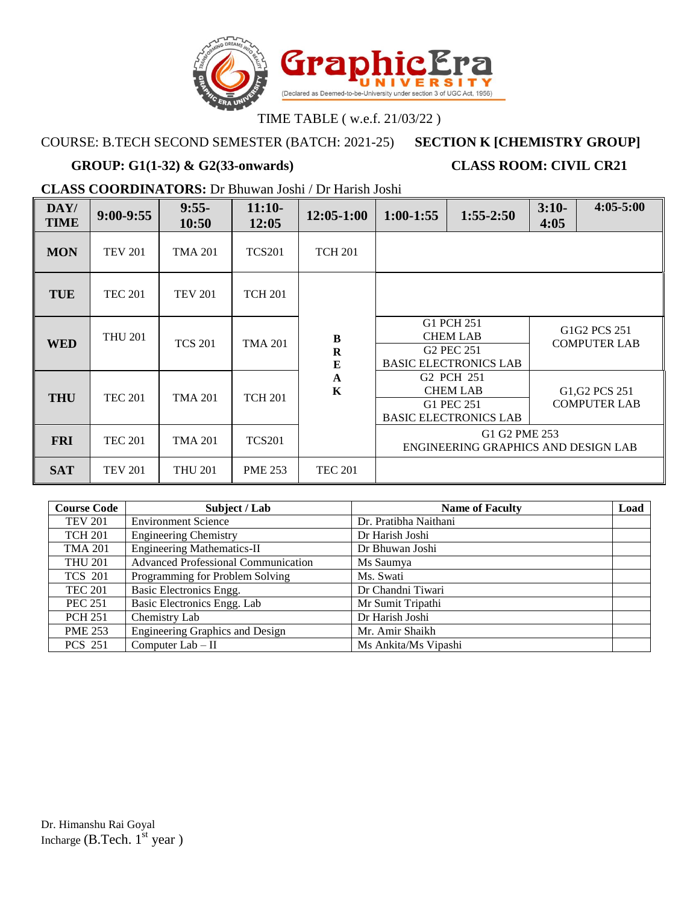

## COURSE: B.TECH SECOND SEMESTER (BATCH: 2021-25) **SECTION K [CHEMISTRY GROUP]**

# **GROUP: G1(1-32) & G2(33-onwards) CLASS ROOM: CIVIL CR21**

**CLASS COORDINATORS:** Dr Bhuwan Joshi / Dr Harish Joshi

| DAY/<br><b>TIME</b> | $9:00-9:55$    | $9:55-$<br>10:50 | $11:10-$<br>12:05 | 12:05-1:00                              | $1:00-1:55$                                                                                                             | $1:55-2:50$                                             | $3:10-$<br>4:05 | $4:05 - 5:00$                                                              |
|---------------------|----------------|------------------|-------------------|-----------------------------------------|-------------------------------------------------------------------------------------------------------------------------|---------------------------------------------------------|-----------------|----------------------------------------------------------------------------|
| <b>MON</b>          | <b>TEV 201</b> | <b>TMA 201</b>   | <b>TCS201</b>     | <b>TCH 201</b>                          |                                                                                                                         |                                                         |                 |                                                                            |
| TUE                 | <b>TEC 201</b> | <b>TEV 201</b>   | <b>TCH 201</b>    |                                         |                                                                                                                         |                                                         |                 |                                                                            |
| <b>WED</b>          | <b>THU 201</b> | <b>TCS 201</b>   | <b>TMA 201</b>    | $\, {\bf B}$<br>$\mathbf R$<br>$\bf{E}$ |                                                                                                                         | G1 PCH 251<br><b>CHEM LAB</b><br>G <sub>2</sub> PEC 251 |                 | G <sub>1</sub> G <sub>2</sub> PC <sub>S</sub> 251<br><b>COMPUTER LAB</b>   |
| <b>THU</b>          | <b>TEC 201</b> | <b>TMA 201</b>   | <b>TCH 201</b>    | $\mathbf A$<br>$\mathbf K$              | <b>BASIC ELECTRONICS LAB</b><br>G <sub>2</sub> PCH 251<br><b>CHEM LAB</b><br>G1 PEC 251<br><b>BASIC ELECTRONICS LAB</b> |                                                         |                 | G <sub>1</sub> , G <sub>2</sub> PC <sub>S</sub> 251<br><b>COMPUTER LAB</b> |
| <b>FRI</b>          | <b>TEC 201</b> | <b>TMA 201</b>   | <b>TCS201</b>     |                                         |                                                                                                                         | G1 G2 PME 253<br>ENGINEERING GRAPHICS AND DESIGN LAB    |                 |                                                                            |
| <b>SAT</b>          | <b>TEV 201</b> | <b>THU 201</b>   | <b>PME 253</b>    | <b>TEC 201</b>                          |                                                                                                                         |                                                         |                 |                                                                            |

| <b>Course Code</b> | Subject / Lab                              | <b>Name of Faculty</b> | Load |
|--------------------|--------------------------------------------|------------------------|------|
| <b>TEV 201</b>     | <b>Environment Science</b>                 | Dr. Pratibha Naithani  |      |
| <b>TCH 201</b>     | <b>Engineering Chemistry</b>               | Dr Harish Joshi        |      |
| <b>TMA 201</b>     | <b>Engineering Mathematics-II</b>          | Dr Bhuwan Joshi        |      |
| <b>THU 201</b>     | <b>Advanced Professional Communication</b> | Ms Saumya              |      |
| <b>TCS 201</b>     | Programming for Problem Solving            | Ms. Swati              |      |
| <b>TEC 201</b>     | Basic Electronics Engg.                    | Dr Chandni Tiwari      |      |
| <b>PEC 251</b>     | Basic Electronics Engg. Lab                | Mr Sumit Tripathi      |      |
| <b>PCH 251</b>     | Chemistry Lab                              | Dr Harish Joshi        |      |
| <b>PME 253</b>     | <b>Engineering Graphics and Design</b>     | Mr. Amir Shaikh        |      |
| <b>PCS 251</b>     | Computer $Lab - II$                        | Ms Ankita/Ms Vipashi   |      |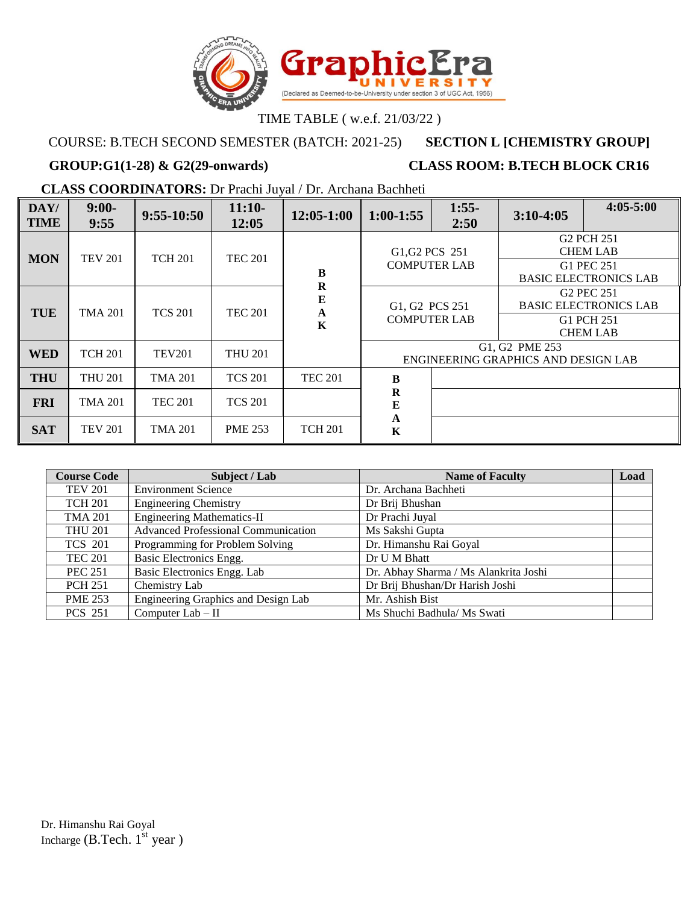

## COURSE: B.TECH SECOND SEMESTER (BATCH: 2021-25) **SECTION L [CHEMISTRY GROUP]**

# GROUP:G1(1-28) & G2(29-onwards) CLASS ROOM: B.TECH BLOCK CR16

**CLASS COORDINATORS:** Dr Prachi Juyal / Dr. Archana Bachheti

| DAY/<br><b>TIME</b> | $9:00-$<br>9:55 | $9:55 - 10:50$ | $11:10-$<br>12:05 | 12:05-1:00                                             | $1:00-1:55$                           | $1:55-$<br>2:50 | $3:10-4:05$                                           | $4:05 - 5:00$                                                                           |
|---------------------|-----------------|----------------|-------------------|--------------------------------------------------------|---------------------------------------|-----------------|-------------------------------------------------------|-----------------------------------------------------------------------------------------|
| <b>MON</b>          | <b>TEV 201</b>  | <b>TCH 201</b> | <b>TEC 201</b>    | $\bf{B}$                                               | G1, G2 PCS 251<br><b>COMPUTER LAB</b> |                 |                                                       | G <sub>2</sub> PCH 251<br><b>CHEM LAB</b><br>G1 PEC 251<br><b>BASIC ELECTRONICS LAB</b> |
| <b>TUE</b>          | <b>TMA 201</b>  | <b>TCS 201</b> | <b>TEC 201</b>    | $\mathbf R$<br>${\bf E}$<br>$\mathbf A$<br>$\mathbf K$ | G1, G2 PCS 251<br><b>COMPUTER LAB</b> |                 |                                                       | G <sub>2</sub> PEC 251<br><b>BASIC ELECTRONICS LAB</b><br>G1 PCH 251<br><b>CHEM LAB</b> |
| <b>WED</b>          | <b>TCH 201</b>  | <b>TEV201</b>  | <b>THU 201</b>    |                                                        |                                       |                 | G1, G2 PME 253<br>ENGINEERING GRAPHICS AND DESIGN LAB |                                                                                         |
| <b>THU</b>          | <b>THU 201</b>  | <b>TMA 201</b> | <b>TCS 201</b>    | <b>TEC 201</b>                                         | $\bf{B}$                              |                 |                                                       |                                                                                         |
| <b>FRI</b>          | <b>TMA 201</b>  | <b>TEC 201</b> | <b>TCS 201</b>    |                                                        | $\mathbf R$<br>${\bf E}$              |                 |                                                       |                                                                                         |
| <b>SAT</b>          | <b>TEV 201</b>  | <b>TMA 201</b> | <b>PME 253</b>    | <b>TCH 201</b>                                         | $\mathbf A$<br>K                      |                 |                                                       |                                                                                         |

| <b>Course Code</b> | Subject / Lab                              | <b>Name of Faculty</b>                | Load |
|--------------------|--------------------------------------------|---------------------------------------|------|
| <b>TEV 201</b>     | <b>Environment Science</b>                 | Dr. Archana Bachheti                  |      |
| <b>TCH 201</b>     | <b>Engineering Chemistry</b>               | Dr Brij Bhushan                       |      |
| <b>TMA 201</b>     | <b>Engineering Mathematics-II</b>          | Dr Prachi Juyal                       |      |
| <b>THU 201</b>     | <b>Advanced Professional Communication</b> | Ms Sakshi Gupta                       |      |
| <b>TCS 201</b>     | Programming for Problem Solving            | Dr. Himanshu Rai Goyal                |      |
| <b>TEC 201</b>     | Basic Electronics Engg.                    | Dr U M Bhatt                          |      |
| <b>PEC 251</b>     | Basic Electronics Engg. Lab                | Dr. Abhay Sharma / Ms Alankrita Joshi |      |
| <b>PCH 251</b>     | Chemistry Lab                              | Dr Brij Bhushan/Dr Harish Joshi       |      |
| <b>PME 253</b>     | Engineering Graphics and Design Lab        | Mr. Ashish Bist                       |      |
| <b>PCS 251</b>     | Computer $Lab - II$                        | Ms Shuchi Badhula/ Ms Swati           |      |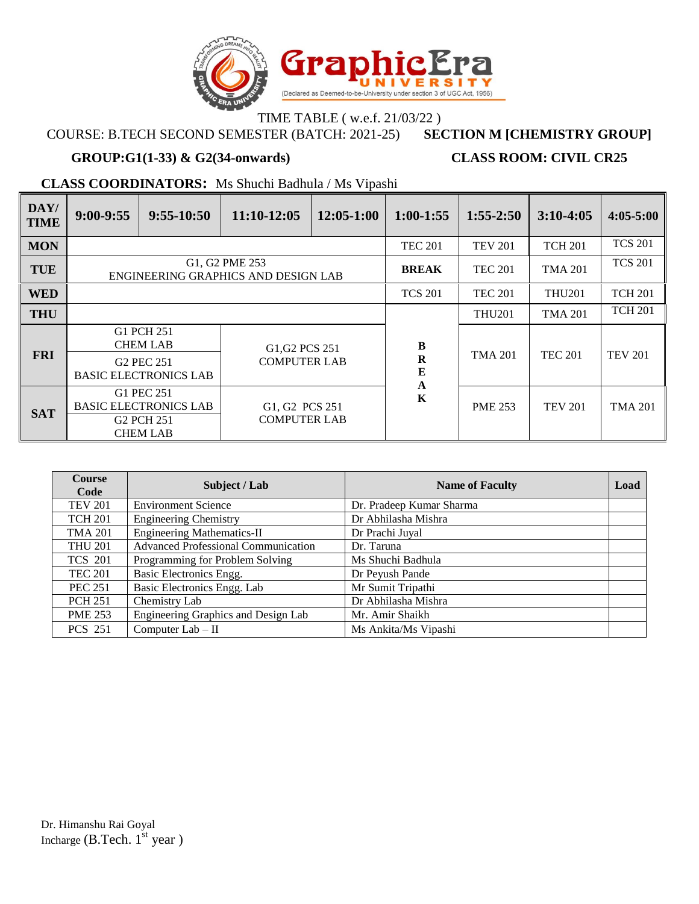

### TIME TABLE ( w.e.f. 21/03/22 )<br>STER (BATCH: 2021-25) SECTION M [CHEMISTRY GROUP] **COURSE: B.TECH SECOND SEMESTER (BATCH: 2021-25)**

### **GROUP:G1(1-33) & G2(34-onwards) CLASS ROOM: CIVIL CR25**

**CLASS COORDINATORS:** Ms Shuchi Badhula / Ms Vipashi

| DAY/<br><b>TIME</b> | $9:00-9:55$                                                                                 | $9:55-10:50$                                                                            | $11:10-12:05$                         | $12:05-1:00$   | $1:00-1:55$    | $1:55 - 2:50$  | $3:10-4:05$    | $4:05-5:00$    |
|---------------------|---------------------------------------------------------------------------------------------|-----------------------------------------------------------------------------------------|---------------------------------------|----------------|----------------|----------------|----------------|----------------|
| <b>MON</b>          |                                                                                             |                                                                                         |                                       |                | <b>TEC 201</b> | <b>TEV 201</b> | <b>TCH 201</b> | <b>TCS 201</b> |
| <b>TUE</b>          |                                                                                             | G1, G2 PME 253<br>ENGINEERING GRAPHICS AND DESIGN LAB                                   |                                       |                |                | <b>TEC 201</b> | <b>TMA 201</b> | <b>TCS 201</b> |
| <b>WED</b>          |                                                                                             |                                                                                         |                                       |                | <b>TCS 201</b> | <b>TEC 201</b> | <b>THU201</b>  | <b>TCH 201</b> |
| <b>THU</b>          |                                                                                             |                                                                                         |                                       |                |                | <b>THU201</b>  | <b>TMA 201</b> | <b>TCH 201</b> |
|                     |                                                                                             | G1 PCH 251<br><b>CHEM LAB</b><br>G <sub>1</sub> , G <sub>2</sub> PC <sub>S</sub> 251    |                                       |                | B              |                |                |                |
|                     | <b>FRI</b><br><b>COMPUTER LAB</b><br>G <sub>2</sub> PEC 251<br><b>BASIC ELECTRONICS LAB</b> |                                                                                         | R<br>E<br>$\mathbf A$                 | <b>TMA 201</b> | <b>TEC 201</b> | <b>TEV 201</b> |                |                |
| <b>SAT</b>          |                                                                                             | G1 PEC 251<br><b>BASIC ELECTRONICS LAB</b><br>G <sub>2</sub> PCH 251<br><b>CHEM LAB</b> | G1, G2 PCS 251<br><b>COMPUTER LAB</b> |                | $\mathbf K$    | <b>PME 253</b> | <b>TEV 201</b> | <b>TMA 201</b> |

| <b>Course</b><br>Code | Subject / Lab                              | <b>Name of Faculty</b>   | Load |
|-----------------------|--------------------------------------------|--------------------------|------|
| <b>TEV 201</b>        | <b>Environment Science</b>                 | Dr. Pradeep Kumar Sharma |      |
| <b>TCH 201</b>        | <b>Engineering Chemistry</b>               | Dr Abhilasha Mishra      |      |
| <b>TMA 201</b>        | <b>Engineering Mathematics-II</b>          | Dr Prachi Juyal          |      |
| <b>THU 201</b>        | <b>Advanced Professional Communication</b> | Dr. Taruna               |      |
| <b>TCS 201</b>        | Programming for Problem Solving            | Ms Shuchi Badhula        |      |
| <b>TEC 201</b>        | Basic Electronics Engg.                    | Dr Peyush Pande          |      |
| <b>PEC 251</b>        | Basic Electronics Engg. Lab                | Mr Sumit Tripathi        |      |
| <b>PCH 251</b>        | Chemistry Lab                              | Dr Abhilasha Mishra      |      |
| <b>PME 253</b>        | Engineering Graphics and Design Lab        | Mr. Amir Shaikh          |      |
| <b>PCS 251</b>        | Computer $Lab - II$                        | Ms Ankita/Ms Vipashi     |      |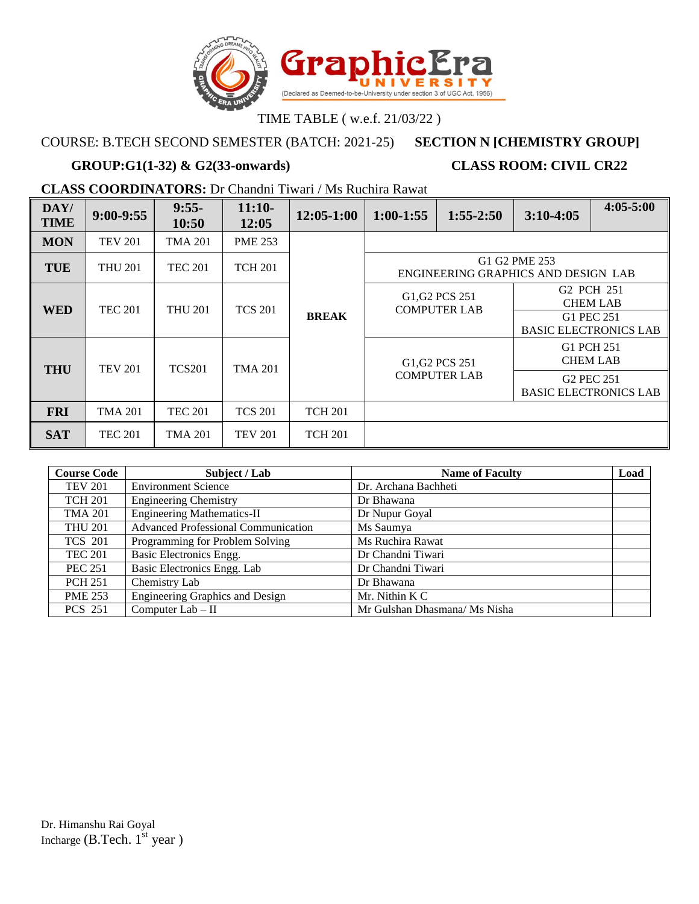

## COURSE: B.TECH SECOND SEMESTER (BATCH: 2021-25) **SECTION N [CHEMISTRY GROUP]**

# **GROUP:G1(1-32) & G2(33-onwards) CLASS ROOM: CIVIL CR22**

**CLASS COORDINATORS:** Dr Chandni Tiwari / Ms Ruchira Rawat

| DAY/<br><b>TIME</b> | $9:00-9:55$    | $9:55-$<br>10:50 | $11:10-$<br>12:05 | $12:05-1:00$   | $1:00 - 1:55$ | $1:55-2:50$                                                                | $3:10-4:05$            | $4:05 - 5:00$                             |                                                     |            |                 |
|---------------------|----------------|------------------|-------------------|----------------|---------------|----------------------------------------------------------------------------|------------------------|-------------------------------------------|-----------------------------------------------------|------------|-----------------|
| <b>MON</b>          | <b>TEV 201</b> | TMA 201          | <b>PME 253</b>    |                |               |                                                                            |                        |                                           |                                                     |            |                 |
| <b>TUE</b>          | <b>THU 201</b> | <b>TEC 201</b>   | <b>TCH 201</b>    |                |               | ENGINEERING GRAPHICS AND DESIGN LAB                                        | G1 G2 PME 253          |                                           |                                                     |            |                 |
| <b>WED</b>          | <b>TEC 201</b> | <b>THU 201</b>   | <b>TCS 201</b>    |                |               | G <sub>1</sub> , G <sub>2</sub> PC <sub>S</sub> 251<br><b>COMPUTER LAB</b> |                        | G <sub>2</sub> PCH 251<br><b>CHEM LAB</b> |                                                     |            |                 |
|                     |                |                  |                   | <b>BREAK</b>   |               |                                                                            | G1 PEC 251             | <b>BASIC ELECTRONICS LAB</b>              |                                                     |            |                 |
| <b>THU</b>          | <b>TEV 201</b> | <b>TCS201</b>    | <b>TMA 201</b>    |                |               |                                                                            |                        |                                           | G <sub>1</sub> , G <sub>2</sub> PC <sub>S</sub> 251 | G1 PCH 251 | <b>CHEM LAB</b> |
|                     |                |                  |                   |                |               | <b>COMPUTER LAB</b>                                                        | G <sub>2</sub> PEC 251 | <b>BASIC ELECTRONICS LAB</b>              |                                                     |            |                 |
| <b>FRI</b>          | <b>TMA 201</b> | <b>TEC 201</b>   | <b>TCS 201</b>    | <b>TCH 201</b> |               |                                                                            |                        |                                           |                                                     |            |                 |
| <b>SAT</b>          | <b>TEC 201</b> | TMA 201          | <b>TEV 201</b>    | <b>TCH 201</b> |               |                                                                            |                        |                                           |                                                     |            |                 |

| <b>Course Code</b> | Subject / Lab                              | <b>Name of Faculty</b>        | Load |
|--------------------|--------------------------------------------|-------------------------------|------|
| <b>TEV 201</b>     | <b>Environment Science</b>                 | Dr. Archana Bachheti          |      |
| <b>TCH 201</b>     | <b>Engineering Chemistry</b>               | Dr Bhawana                    |      |
| <b>TMA 201</b>     | <b>Engineering Mathematics-II</b>          | Dr Nupur Goyal                |      |
| <b>THU 201</b>     | <b>Advanced Professional Communication</b> | Ms Saumya                     |      |
| <b>TCS 201</b>     | Programming for Problem Solving            | Ms Ruchira Rawat              |      |
| <b>TEC 201</b>     | Basic Electronics Engg.                    | Dr Chandni Tiwari             |      |
| <b>PEC 251</b>     | Basic Electronics Engg. Lab                | Dr Chandni Tiwari             |      |
| <b>PCH 251</b>     | Chemistry Lab                              | Dr Bhawana                    |      |
| <b>PME 253</b>     | Engineering Graphics and Design            | Mr. Nithin K C                |      |
| <b>PCS 251</b>     | Computer Lab - II                          | Mr Gulshan Dhasmana/ Ms Nisha |      |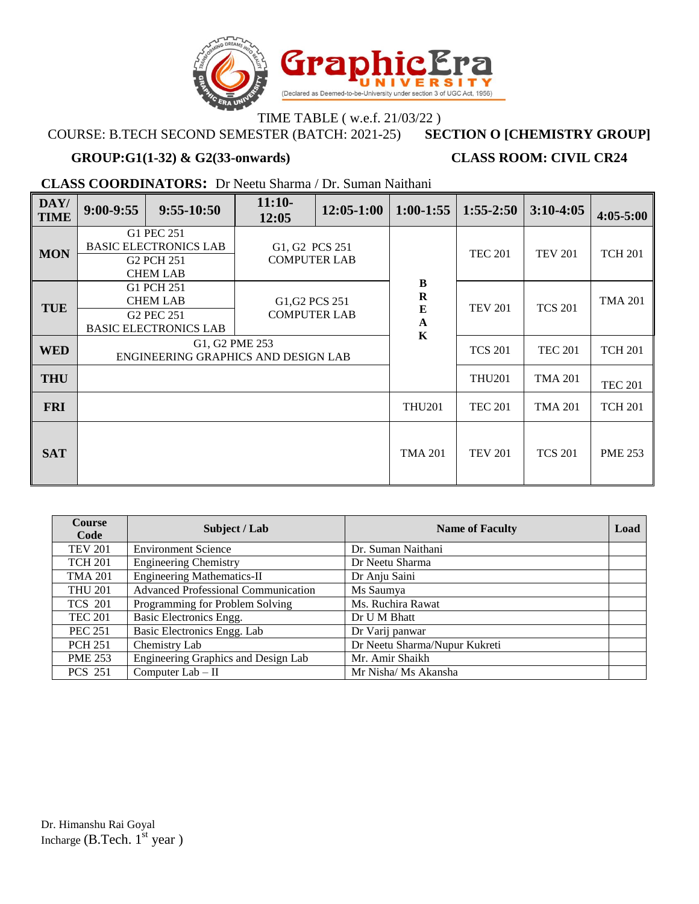

### TIME TABLE ( w.e.f. 21/03/22 )<br>STER (BATCH: 2021-25) SECTION O [CHEMISTRY GROUP] **COURSE: B.TECH SECOND SEMESTER (BATCH: 2021-25)**

### **GROUP:G1(1-32) & G2(33-onwards) CLASS ROOM: CIVIL CR24**

**CLASS COORDINATORS:** Dr Neetu Sharma / Dr. Suman Naithani

| DAY/<br><b>TIME</b> | $9:00-9:55$                                                                             | $9:55-10:50$                                                                            | $11:10-$<br>12:05                     | $12:05-1:00$ | $1:00-1:55$                             | $1:55 - 2:50$  | $3:10-4:05$    | $4:05 - 5:00$  |
|---------------------|-----------------------------------------------------------------------------------------|-----------------------------------------------------------------------------------------|---------------------------------------|--------------|-----------------------------------------|----------------|----------------|----------------|
| <b>MON</b>          | G1 PEC 251<br><b>BASIC ELECTRONICS LAB</b><br>G <sub>2</sub> PCH 251<br><b>CHEM LAB</b> |                                                                                         | G1, G2 PCS 251<br><b>COMPUTER LAB</b> |              |                                         | <b>TEC 201</b> | <b>TEV 201</b> | <b>TCH 201</b> |
| <b>TUE</b>          |                                                                                         | G1 PCH 251<br><b>CHEM LAB</b><br>G <sub>2</sub> PEC 251<br><b>BASIC ELECTRONICS LAB</b> | G1, G2 PCS 251<br><b>COMPUTER LAB</b> |              | $\bf{B}$<br>$\bf R$<br>E<br>$\mathbf A$ | <b>TEV 201</b> | <b>TCS 201</b> | <b>TMA 201</b> |
| <b>WED</b>          | G1, G2 PME 253<br>ENGINEERING GRAPHICS AND DESIGN LAB                                   |                                                                                         |                                       |              | $\mathbf K$                             | <b>TCS 201</b> | <b>TEC 201</b> | <b>TCH 201</b> |
| <b>THU</b>          |                                                                                         |                                                                                         |                                       |              |                                         | <b>THU201</b>  | <b>TMA 201</b> | <b>TEC 201</b> |
| <b>FRI</b>          |                                                                                         |                                                                                         |                                       |              | <b>THU201</b>                           | <b>TEC 201</b> | <b>TMA 201</b> | <b>TCH 201</b> |
| <b>SAT</b>          |                                                                                         |                                                                                         |                                       |              | <b>TMA 201</b>                          | <b>TEV 201</b> | <b>TCS 201</b> | <b>PME 253</b> |

| <b>Course</b><br>Code | Subject / Lab                              | <b>Name of Faculty</b>        | Load |
|-----------------------|--------------------------------------------|-------------------------------|------|
| <b>TEV 201</b>        | <b>Environment Science</b>                 | Dr. Suman Naithani            |      |
| <b>TCH 201</b>        | <b>Engineering Chemistry</b>               | Dr Neetu Sharma               |      |
| <b>TMA 201</b>        | <b>Engineering Mathematics-II</b>          | Dr Anju Saini                 |      |
| <b>THU 201</b>        | <b>Advanced Professional Communication</b> | Ms Saumya                     |      |
| <b>TCS 201</b>        | Programming for Problem Solving            | Ms. Ruchira Rawat             |      |
| <b>TEC 201</b>        | Basic Electronics Engg.                    | Dr U M Bhatt                  |      |
| <b>PEC 251</b>        | Basic Electronics Engg. Lab                | Dr Varij panwar               |      |
| <b>PCH 251</b>        | Chemistry Lab                              | Dr Neetu Sharma/Nupur Kukreti |      |
| <b>PME 253</b>        | Engineering Graphics and Design Lab        | Mr. Amir Shaikh               |      |
| <b>PCS 251</b>        | Computer Lab - II                          | Mr Nisha/ Ms Akansha          |      |